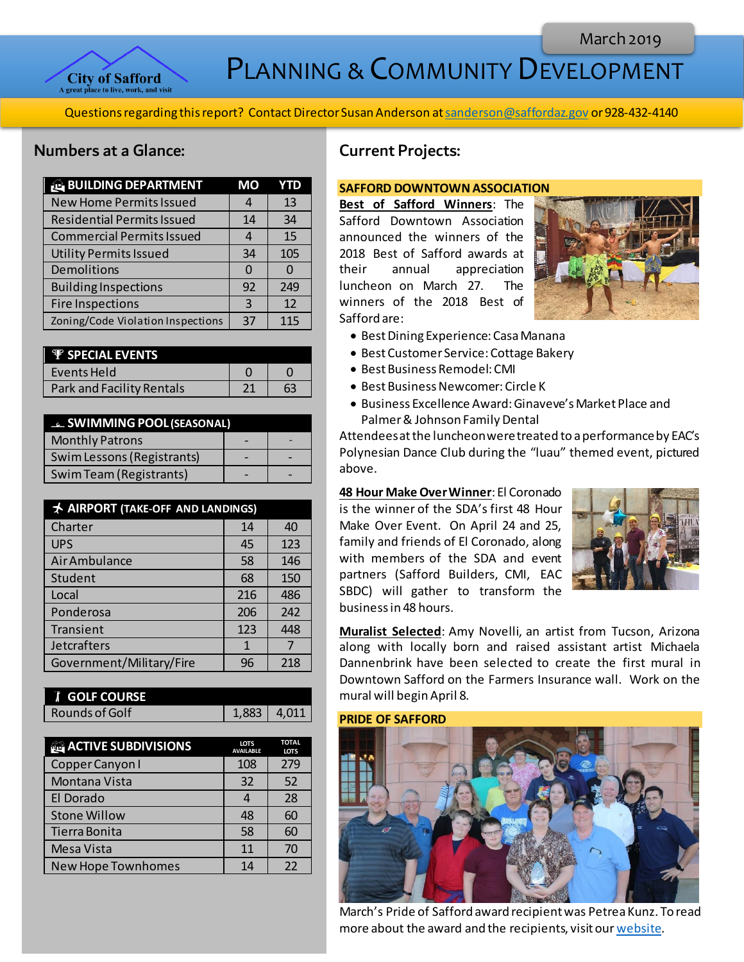

PLANNING & COMMUNITY DEVELOPMENT

Questions regarding this report? Contact Director Susan Anderson a[t sanderson@saffordaz.gov](mailto:sanderson@saffordaz.gov) or 928-432-4140

## Numbers at a Glance:

| <b>BUILDING DEPARTMENT</b>        | MО |     |
|-----------------------------------|----|-----|
| <b>New Home Permits Issued</b>    | 4  | 13  |
| <b>Residential Permits Issued</b> | 14 | 34  |
| <b>Commercial Permits Issued</b>  |    | 15  |
| <b>Utility Permits Issued</b>     | 34 | 105 |
| Demolitions                       | O  |     |
| <b>Building Inspections</b>       | 92 | 249 |
| <b>Fire Inspections</b>           | 3  | 12  |
| Zoning/Code Violation Inspections | 37 | 115 |

| <b>P</b> SPECIAL EVENTS   |  |
|---------------------------|--|
| Events Held               |  |
| Park and Facility Rentals |  |

| <b>ELE</b> SWIMMING POOL (SEASONAL) |  |  |
|-------------------------------------|--|--|
| <b>Monthly Patrons</b>              |  |  |
| Swim Lessons (Registrants)          |  |  |
| Swim Team (Registrants)             |  |  |

| <b>★ AIRPORT (TAKE-OFF AND LANDINGS)</b> |     |     |
|------------------------------------------|-----|-----|
| Charter                                  | 14  | 40  |
| <b>UPS</b>                               | 45  | 123 |
| Air Ambulance                            | 58  | 146 |
| Student                                  | 68  | 150 |
| Local                                    | 216 | 486 |
| Ponderosa                                | 206 | 242 |
| Transient                                | 123 | 448 |
| Jetcrafters                              | 1   |     |
| Government/Military/Fire                 | 96  | 218 |

| <b>T</b> GOLF COURSE |                    |  |
|----------------------|--------------------|--|
| Rounds of Golf       | $1.883 \mid 4.011$ |  |

| <b>ACTIVE SUBDIVISIONS</b> | <b>LOTS</b><br><b>AVAILABLE</b> | <b>TOTAL</b><br><b>LOTS</b> |
|----------------------------|---------------------------------|-----------------------------|
| Copper Canyon I            | 108                             | 279                         |
| Montana Vista              | 32                              | 52                          |
| El Dorado                  |                                 | 28                          |
| <b>Stone Willow</b>        | 48                              | 60                          |
| Tierra Bonita              | 58                              | 60                          |
| <b>Mesa Vista</b>          | 11                              | 70                          |
| <b>New Hope Townhomes</b>  | 14                              | 22                          |

# Current Projects:

### **SAFFORD DOWNTOWN ASSOCIATION**

**Best of Safford Winners**: The Safford Downtown Association announced the winners of the 2018 Best of Safford awards at their annual appreciation luncheon on March 27. The winners of the 2018 Best of Safford are:



- Best Dining Experience: Casa Manana
- Best Customer Service: Cottage Bakery
- Best Business Remodel: CMI
- Best Business Newcomer: Circle K
- Business Excellence Award: Ginaveve's Market Place and Palmer & Johnson Family Dental

Attendees at the luncheon were treated to a performance by EAC's Polynesian Dance Club during the "luau" themed event, pictured above.

**48 Hour Make Over Winner**: El Coronado is the winner of the SDA's first 48 Hour Make Over Event. On April 24 and 25, family and friends of El Coronado, along with members of the SDA and event partners (Safford Builders, CMI, EAC SBDC) will gather to transform the business in 48 hours.



**Muralist Selected**: Amy Novelli, an artist from Tucson, Arizona along with locally born and raised assistant artist Michaela Dannenbrink have been selected to create the first mural in Downtown Safford on the Farmers Insurance wall. Work on the mural will begin April 8.

#### **PRIDE OF SAFFORD**



March's Pride of Safford award recipient was Petrea Kunz. To read more about the award and the recipients, visit ou[r website](http://az-safford.civicplus.com/288/Pride-of-Safford-Award).